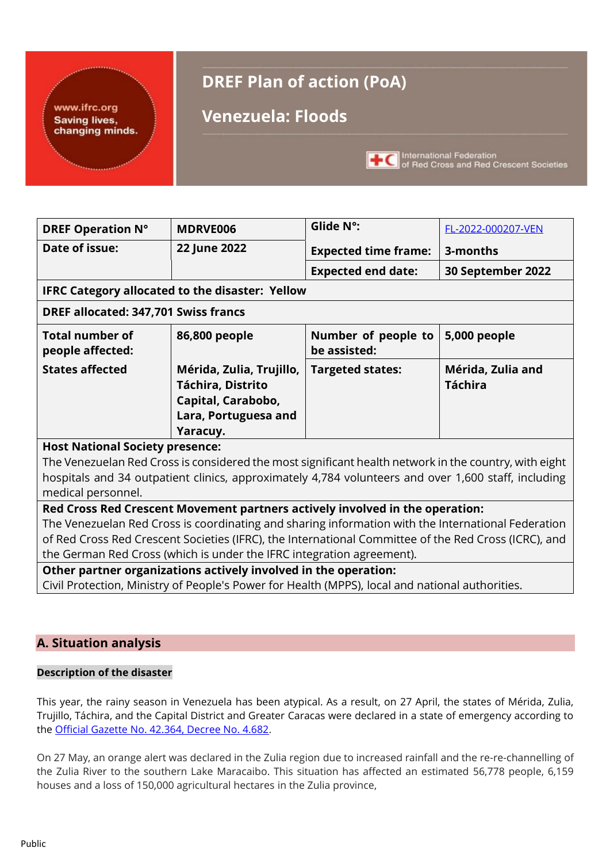#### www.ifrc.org **Saving lives,** changing minds.

# **DREF Plan of action (PoA)**

# **Venezuela: Floods**



HC International Federation<br>of Red Cross and Red Crescent Societies

| <b>DREF Operation N°</b>                                                                              | <b>MDRVE006</b>                                                                                     | Glide N°:                           | FL-2022-000207-VEN                  |  |  |  |  |  |  |  |  |
|-------------------------------------------------------------------------------------------------------|-----------------------------------------------------------------------------------------------------|-------------------------------------|-------------------------------------|--|--|--|--|--|--|--|--|
| Date of issue:                                                                                        | 22 June 2022                                                                                        | <b>Expected time frame:</b>         | 3-months                            |  |  |  |  |  |  |  |  |
|                                                                                                       |                                                                                                     | <b>Expected end date:</b>           | 30 September 2022                   |  |  |  |  |  |  |  |  |
|                                                                                                       | <b>IFRC Category allocated to the disaster: Yellow</b>                                              |                                     |                                     |  |  |  |  |  |  |  |  |
| DREF allocated: 347,701 Swiss francs                                                                  |                                                                                                     |                                     |                                     |  |  |  |  |  |  |  |  |
| <b>Total number of</b><br>people affected:                                                            | 86,800 people                                                                                       | Number of people to<br>be assisted: | 5,000 people                        |  |  |  |  |  |  |  |  |
| <b>States affected</b>                                                                                | Mérida, Zulia, Trujillo,<br>Táchira, Distrito<br>Capital, Carabobo,                                 | <b>Targeted states:</b>             | Mérida, Zulia and<br><b>Táchira</b> |  |  |  |  |  |  |  |  |
|                                                                                                       | Lara, Portuguesa and                                                                                |                                     |                                     |  |  |  |  |  |  |  |  |
|                                                                                                       | Yaracuy.                                                                                            |                                     |                                     |  |  |  |  |  |  |  |  |
| <b>Host National Society presence:</b>                                                                |                                                                                                     |                                     |                                     |  |  |  |  |  |  |  |  |
| The Venezuelan Red Cross is considered the most significant health network in the country, with eight |                                                                                                     |                                     |                                     |  |  |  |  |  |  |  |  |
|                                                                                                       | hospitals and 34 outpatient clinics, approximately 4,784 volunteers and over 1,600 staff, including |                                     |                                     |  |  |  |  |  |  |  |  |

medical personnel.

# **Red Cross Red Crescent Movement partners actively involved in the operation:**

The Venezuelan Red Cross is coordinating and sharing information with the International Federation of Red Cross Red Crescent Societies (IFRC), the International Committee of the Red Cross (ICRC), and the German Red Cross (which is under the IFRC integration agreement).

**Other partner organizations actively involved in the operation:**

Civil Protection, Ministry of People's Power for Health (MPPS), local and national authorities.

# **A. Situation analysis**

#### **Description of the disaster**

This year, the rainy season in Venezuela has been atypical. As a result, on 27 April, the states of Mérida, Zulia, Trujillo, Táchira, and the Capital District and Greater Caracas were declared in a state of emergency according to the Official Gazette [No. 42.364, Decree No. 4.682.](https://tugacetaoficial.com/gaceta-oficial-venezuela-42364-del-27-04-2022/)

On 27 May, an orange alert was declared in the Zulia region due to increased rainfall and the re-re-channelling of the Zulia River to the southern Lake Maracaibo. This situation has affected an estimated 56,778 people, 6,159 houses and a loss of 150,000 agricultural hectares in the Zulia province,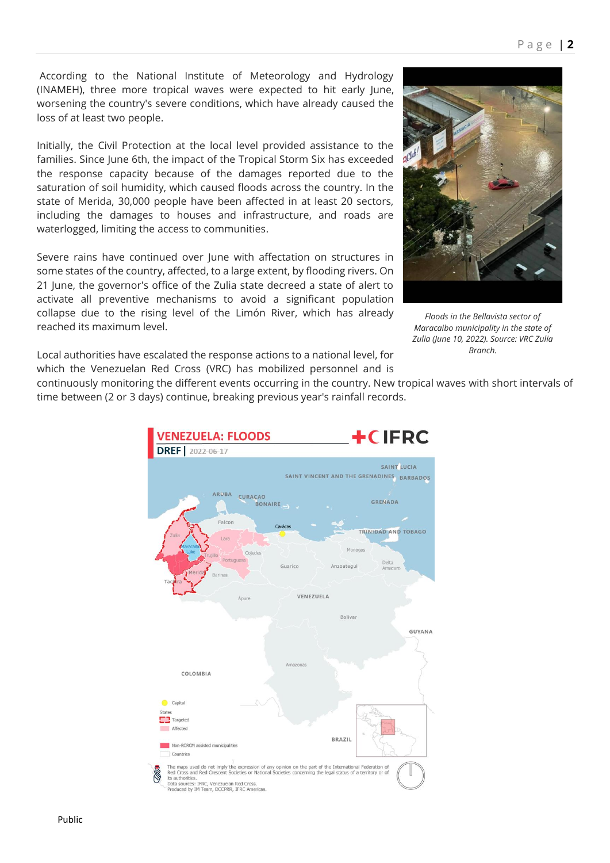According to the National Institute of Meteorology and Hydrology (INAMEH), three more tropical waves were expected to hit early June, worsening the country's severe conditions, which have already caused the loss of at least two people.

Initially, the Civil Protection at the local level provided assistance to the families. Since June 6th, the impact of the Tropical Storm Six has exceeded the response capacity because of the damages reported due to the saturation of soil humidity, which caused floods across the country. In the state of Merida, 30,000 people have been affected in at least 20 sectors, including the damages to houses and infrastructure, and roads are waterlogged, limiting the access to communities.

Severe rains have continued over June with affectation on structures in some states of the country, affected, to a large extent, by flooding rivers. On 21 June, the governor's office of the Zulia state decreed a state of alert to activate all preventive mechanisms to avoid a significant population collapse due to the rising level of the Limón River, which has already reached its maximum level.



*Floods in the Bellavista sector of Maracaibo municipality in the state of Zulia (June 10, 2022). Source: VRC Zulia Branch.*

Local authorities have escalated the response actions to a national level, for which the Venezuelan Red Cross (VRC) has mobilized personnel and is

continuously monitoring the different events occurring in the country. New tropical waves with short intervals of time between (2 or 3 days) continue, breaking previous year's rainfall records.

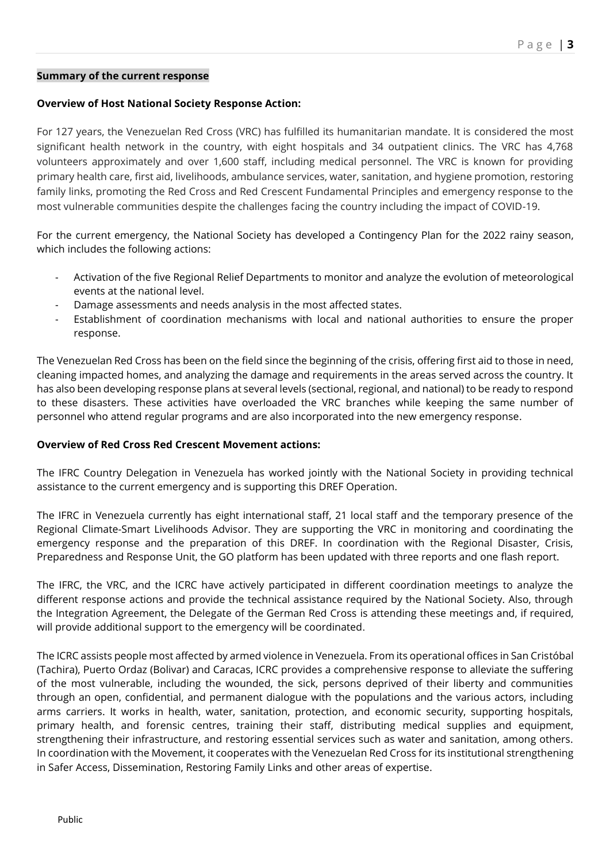#### **Summary of the current response**

#### **Overview of Host National Society Response Action:**

For 127 years, the Venezuelan Red Cross (VRC) has fulfilled its humanitarian mandate. It is considered the most significant health network in the country, with eight hospitals and 34 outpatient clinics. The VRC has 4,768 volunteers approximately and over 1,600 staff, including medical personnel. The VRC is known for providing primary health care, first aid, livelihoods, ambulance services, water, sanitation, and hygiene promotion, restoring family links, promoting the Red Cross and Red Crescent Fundamental Principles and emergency response to the most vulnerable communities despite the challenges facing the country including the impact of COVID-19.

For the current emergency, the National Society has developed a Contingency Plan for the 2022 rainy season, which includes the following actions:

- Activation of the five Regional Relief Departments to monitor and analyze the evolution of meteorological events at the national level.
- Damage assessments and needs analysis in the most affected states.
- Establishment of coordination mechanisms with local and national authorities to ensure the proper response.

The Venezuelan Red Cross has been on the field since the beginning of the crisis, offering first aid to those in need, cleaning impacted homes, and analyzing the damage and requirements in the areas served across the country. It has also been developing response plans at several levels (sectional, regional, and national) to be ready to respond to these disasters. These activities have overloaded the VRC branches while keeping the same number of personnel who attend regular programs and are also incorporated into the new emergency response.

#### **Overview of Red Cross Red Crescent Movement actions:**

The IFRC Country Delegation in Venezuela has worked jointly with the National Society in providing technical assistance to the current emergency and is supporting this DREF Operation.

The IFRC in Venezuela currently has eight international staff, 21 local staff and the temporary presence of the Regional Climate-Smart Livelihoods Advisor. They are supporting the VRC in monitoring and coordinating the emergency response and the preparation of this DREF. In coordination with the Regional Disaster, Crisis, Preparedness and Response Unit, the GO platform has been updated with three reports and one flash report.

The IFRC, the VRC, and the ICRC have actively participated in different coordination meetings to analyze the different response actions and provide the technical assistance required by the National Society. Also, through the Integration Agreement, the Delegate of the German Red Cross is attending these meetings and, if required, will provide additional support to the emergency will be coordinated.

The ICRC assists people most affected by armed violence in Venezuela. From its operational offices in San Cristóbal (Tachira), Puerto Ordaz (Bolivar) and Caracas, ICRC provides a comprehensive response to alleviate the suffering of the most vulnerable, including the wounded, the sick, persons deprived of their liberty and communities through an open, confidential, and permanent dialogue with the populations and the various actors, including arms carriers. It works in health, water, sanitation, protection, and economic security, supporting hospitals, primary health, and forensic centres, training their staff, distributing medical supplies and equipment, strengthening their infrastructure, and restoring essential services such as water and sanitation, among others. In coordination with the Movement, it cooperates with the Venezuelan Red Cross for its institutional strengthening in Safer Access, Dissemination, Restoring Family Links and other areas of expertise.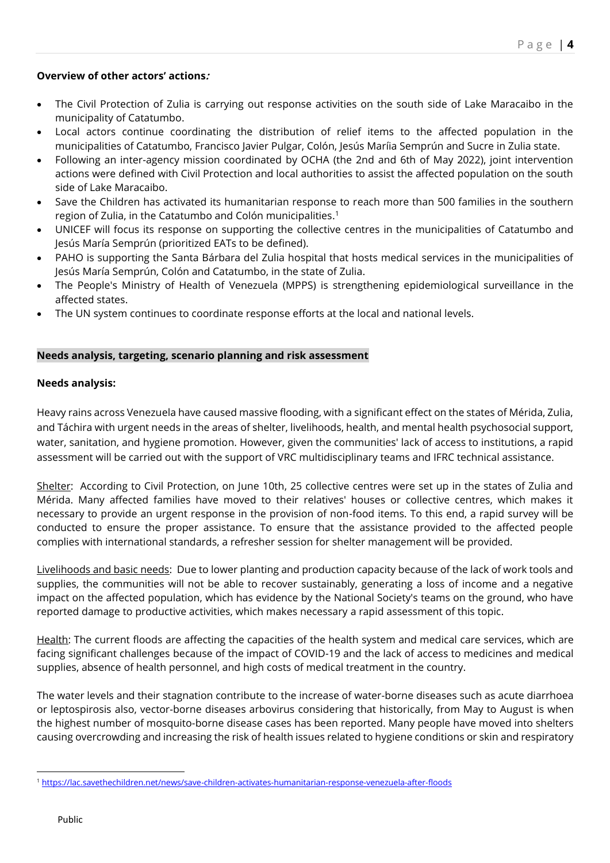### **Overview of other actors' actions:**

- The Civil Protection of Zulia is carrying out response activities on the south side of Lake Maracaibo in the municipality of Catatumbo.
- Local actors continue coordinating the distribution of relief items to the affected population in the municipalities of Catatumbo, Francisco Javier Pulgar, Colón, Jesús Maríia Semprún and Sucre in Zulia state.
- Following an inter-agency mission coordinated by OCHA (the 2nd and 6th of May 2022), joint intervention actions were defined with Civil Protection and local authorities to assist the affected population on the south side of Lake Maracaibo.
- Save the Children has activated its humanitarian response to reach more than 500 families in the southern region of Zulia, in the Catatumbo and Colón municipalities. 1
- UNICEF will focus its response on supporting the collective centres in the municipalities of Catatumbo and Jesús María Semprún (prioritized EATs to be defined).
- PAHO is supporting the Santa Bárbara del Zulia hospital that hosts medical services in the municipalities of Jesús María Semprún, Colón and Catatumbo, in the state of Zulia.
- The People's Ministry of Health of Venezuela (MPPS) is strengthening epidemiological surveillance in the affected states.
- The UN system continues to coordinate response efforts at the local and national levels.

#### **Needs analysis, targeting, scenario planning and risk assessment**

#### **Needs analysis:**

Heavy rains across Venezuela have caused massive flooding, with a significant effect on the states of Mérida, Zulia, and Táchira with urgent needs in the areas of shelter, livelihoods, health, and mental health psychosocial support, water, sanitation, and hygiene promotion. However, given the communities' lack of access to institutions, a rapid assessment will be carried out with the support of VRC multidisciplinary teams and IFRC technical assistance.

Shelter: According to Civil Protection, on June 10th, 25 collective centres were set up in the states of Zulia and Mérida. Many affected families have moved to their relatives' houses or collective centres, which makes it necessary to provide an urgent response in the provision of non-food items. To this end, a rapid survey will be conducted to ensure the proper assistance. To ensure that the assistance provided to the affected people complies with international standards, a refresher session for shelter management will be provided.

Livelihoods and basic needs:Due to lower planting and production capacity because of the lack of work tools and supplies, the communities will not be able to recover sustainably, generating a loss of income and a negative impact on the affected population, which has evidence by the National Society's teams on the ground, who have reported damage to productive activities, which makes necessary a rapid assessment of this topic.

Health: The current floods are affecting the capacities of the health system and medical care services, which are facing significant challenges because of the impact of COVID-19 and the lack of access to medicines and medical supplies, absence of health personnel, and high costs of medical treatment in the country.

The water levels and their stagnation contribute to the increase of water-borne diseases such as acute diarrhoea or leptospirosis also, vector-borne diseases arbovirus considering that historically, from May to August is when the highest number of mosquito-borne disease cases has been reported. Many people have moved into shelters causing overcrowding and increasing the risk of health issues related to hygiene conditions or skin and respiratory

<sup>1</sup> <https://lac.savethechildren.net/news/save-children-activates-humanitarian-response-venezuela-after-floods>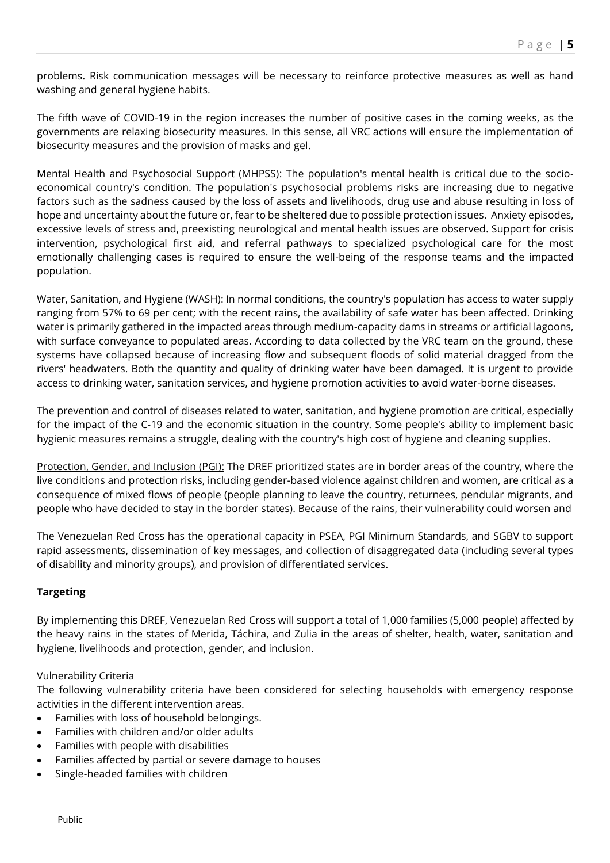problems. Risk communication messages will be necessary to reinforce protective measures as well as hand washing and general hygiene habits.

The fifth wave of COVID-19 in the region increases the number of positive cases in the coming weeks, as the governments are relaxing biosecurity measures. In this sense, all VRC actions will ensure the implementation of biosecurity measures and the provision of masks and gel.

Mental Health and Psychosocial Support (MHPSS): The population's mental health is critical due to the socioeconomical country's condition. The population's psychosocial problems risks are increasing due to negative factors such as the sadness caused by the loss of assets and livelihoods, drug use and abuse resulting in loss of hope and uncertainty about the future or, fear to be sheltered due to possible protection issues. Anxiety episodes, excessive levels of stress and, preexisting neurological and mental health issues are observed. Support for crisis intervention, psychological first aid, and referral pathways to specialized psychological care for the most emotionally challenging cases is required to ensure the well-being of the response teams and the impacted population.

Water, Sanitation, and Hygiene (WASH): In normal conditions, the country's population has access to water supply ranging from 57% to 69 per cent; with the recent rains, the availability of safe water has been affected. Drinking water is primarily gathered in the impacted areas through medium-capacity dams in streams or artificial lagoons, with surface conveyance to populated areas. According to data collected by the VRC team on the ground, these systems have collapsed because of increasing flow and subsequent floods of solid material dragged from the rivers' headwaters. Both the quantity and quality of drinking water have been damaged. It is urgent to provide access to drinking water, sanitation services, and hygiene promotion activities to avoid water-borne diseases.

The prevention and control of diseases related to water, sanitation, and hygiene promotion are critical, especially for the impact of the C-19 and the economic situation in the country. Some people's ability to implement basic hygienic measures remains a struggle, dealing with the country's high cost of hygiene and cleaning supplies.

Protection, Gender, and Inclusion (PGI): The DREF prioritized states are in border areas of the country, where the live conditions and protection risks, including gender-based violence against children and women, are critical as a consequence of mixed flows of people (people planning to leave the country, returnees, pendular migrants, and people who have decided to stay in the border states). Because of the rains, their vulnerability could worsen and

The Venezuelan Red Cross has the operational capacity in PSEA, PGI Minimum Standards, and SGBV to support rapid assessments, dissemination of key messages, and collection of disaggregated data (including several types of disability and minority groups), and provision of differentiated services.

# **Targeting**

By implementing this DREF, Venezuelan Red Cross will support a total of 1,000 families (5,000 people) affected by the heavy rains in the states of Merida, Táchira, and Zulia in the areas of shelter, health, water, sanitation and hygiene, livelihoods and protection, gender, and inclusion.

#### Vulnerability Criteria

The following vulnerability criteria have been considered for selecting households with emergency response activities in the different intervention areas.

- Families with loss of household belongings.
- Families with children and/or older adults
- Families with people with disabilities
- Families affected by partial or severe damage to houses
- Single-headed families with children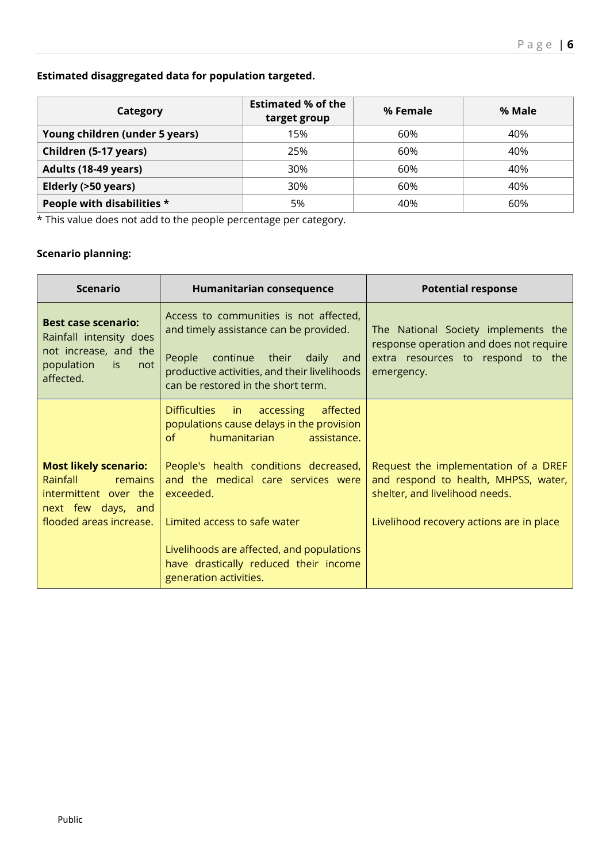# **Estimated disaggregated data for population targeted.**

| Category                       | <b>Estimated % of the</b><br>target group | % Female | % Male |
|--------------------------------|-------------------------------------------|----------|--------|
| Young children (under 5 years) | 15%                                       | 60%      | 40%    |
| Children (5-17 years)          | 25%                                       | 60%      | 40%    |
| Adults (18-49 years)           | 30%                                       | 60%      | 40%    |
| Elderly (>50 years)            | 30%                                       | 60%      | 40%    |
| People with disabilities *     | 5%                                        | 40%      | 60%    |

\* This value does not add to the people percentage per category.

# **Scenario planning:**

| <b>Scenario</b>                                                                                                                      | Humanitarian consequence                                                                                                                                                                                                                                                                                                                                                                                                                                                                                                                                         | <b>Potential response</b>                                                                                                                                  |
|--------------------------------------------------------------------------------------------------------------------------------------|------------------------------------------------------------------------------------------------------------------------------------------------------------------------------------------------------------------------------------------------------------------------------------------------------------------------------------------------------------------------------------------------------------------------------------------------------------------------------------------------------------------------------------------------------------------|------------------------------------------------------------------------------------------------------------------------------------------------------------|
| <b>Best case scenario:</b><br>Rainfall intensity does<br>not increase, and the<br>population<br>is :<br>not<br>affected.             | Access to communities is not affected,<br>and timely assistance can be provided.<br>People<br>continue their daily<br>and<br>productive activities, and their livelihoods<br>can be restored in the short term.                                                                                                                                                                                                                                                                                                                                                  | The National Society implements the<br>response operation and does not require<br>extra resources to respond to the<br>emergency.                          |
| <b>Most likely scenario:</b><br><b>Rainfall</b><br>remains<br>intermittent over the<br>next few days, and<br>flooded areas increase. | <b>Difficulties</b><br>accessing<br>affected<br>in in the second term in the second term in the second term in the second term in the second term in the second $\mathbf{m}$ in the second term in the second term in $\mathbf{m}$<br>populations cause delays in the provision<br>humanitarian<br>of<br>assistance.<br>People's health conditions decreased,<br>and the medical care services were<br>exceeded.<br>Limited access to safe water<br>Livelihoods are affected, and populations<br>have drastically reduced their income<br>generation activities. | Request the implementation of a DREF<br>and respond to health, MHPSS, water,<br>shelter, and livelihood needs.<br>Livelihood recovery actions are in place |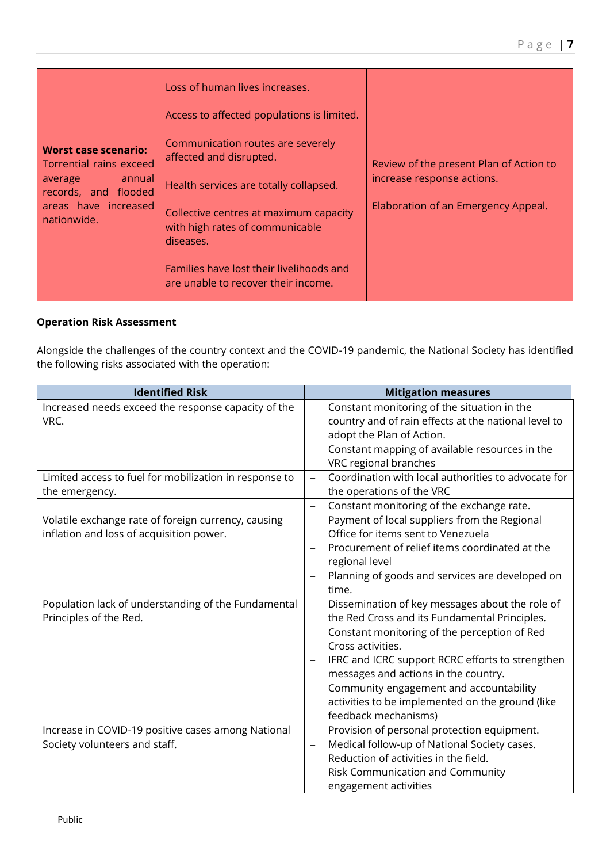| <b>Worst case scenario:</b><br>Torrential rains exceed<br>annual<br>average<br>records, and flooded<br>areas have increased<br>nationwide. | Loss of human lives increases.<br>Access to affected populations is limited.<br>Communication routes are severely<br>affected and disrupted.<br>Health services are totally collapsed.<br>Collective centres at maximum capacity<br>with high rates of communicable<br>diseases.<br>Families have lost their livelihoods and<br>are unable to recover their income. | Review of the present Plan of Action to<br>increase response actions.<br>Elaboration of an Emergency Appeal. |
|--------------------------------------------------------------------------------------------------------------------------------------------|---------------------------------------------------------------------------------------------------------------------------------------------------------------------------------------------------------------------------------------------------------------------------------------------------------------------------------------------------------------------|--------------------------------------------------------------------------------------------------------------|
|--------------------------------------------------------------------------------------------------------------------------------------------|---------------------------------------------------------------------------------------------------------------------------------------------------------------------------------------------------------------------------------------------------------------------------------------------------------------------------------------------------------------------|--------------------------------------------------------------------------------------------------------------|

# **Operation Risk Assessment**

Alongside the challenges of the country context and the COVID-19 pandemic, the National Society has identified the following risks associated with the operation:

| <b>Identified Risk</b>                                 | <b>Mitigation measures</b>                                                      |
|--------------------------------------------------------|---------------------------------------------------------------------------------|
| Increased needs exceed the response capacity of the    | Constant monitoring of the situation in the<br>$\overline{\phantom{0}}$         |
| VRC.                                                   | country and of rain effects at the national level to                            |
|                                                        | adopt the Plan of Action.                                                       |
|                                                        | Constant mapping of available resources in the                                  |
|                                                        | VRC regional branches                                                           |
| Limited access to fuel for mobilization in response to | Coordination with local authorities to advocate for<br>$\overline{\phantom{0}}$ |
| the emergency.                                         | the operations of the VRC                                                       |
|                                                        | Constant monitoring of the exchange rate.<br>$\overline{\phantom{0}}$           |
| Volatile exchange rate of foreign currency, causing    | Payment of local suppliers from the Regional<br>$\overline{\phantom{0}}$        |
| inflation and loss of acquisition power.               | Office for items sent to Venezuela                                              |
|                                                        | Procurement of relief items coordinated at the                                  |
|                                                        | regional level                                                                  |
|                                                        | Planning of goods and services are developed on                                 |
|                                                        | time.                                                                           |
| Population lack of understanding of the Fundamental    | Dissemination of key messages about the role of<br>$\overline{\phantom{0}}$     |
| Principles of the Red.                                 | the Red Cross and its Fundamental Principles.                                   |
|                                                        | Constant monitoring of the perception of Red<br>$\overline{\phantom{0}}$        |
|                                                        | Cross activities.                                                               |
|                                                        | IFRC and ICRC support RCRC efforts to strengthen                                |
|                                                        | messages and actions in the country.                                            |
|                                                        | Community engagement and accountability                                         |
|                                                        | activities to be implemented on the ground (like                                |
|                                                        | feedback mechanisms)                                                            |
| Increase in COVID-19 positive cases among National     | Provision of personal protection equipment.<br>$\overline{\phantom{0}}$         |
| Society volunteers and staff.                          | Medical follow-up of National Society cases.<br>$\qquad \qquad -$               |
|                                                        | Reduction of activities in the field.                                           |
|                                                        | Risk Communication and Community                                                |
|                                                        | engagement activities                                                           |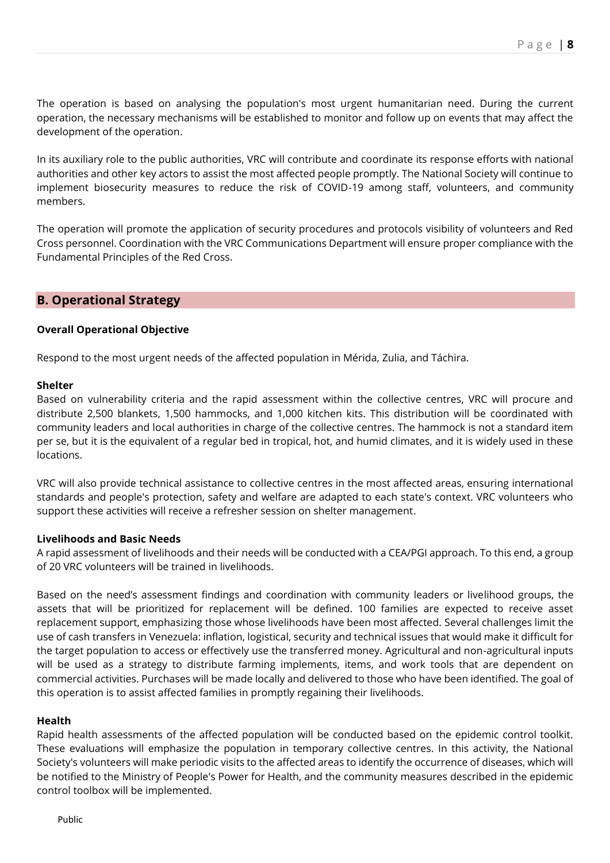The operation is based on analysing the population's most urgent humanitarian need. During the current operation, the necessary mechanisms will be established to monitor and follow up on events that may affect the development of the operation.

In its auxiliary role to the public authorities, VRC will contribute and coordinate its response efforts with national authorities and other key actors to assist the most affected people promptly. The National Society will continue to implement biosecurity measures to reduce the risk of COVID-19 among staff, volunteers, and community members.

The operation will promote the application of security procedures and protocols visibility of volunteers and Red Cross personnel. Coordination with the VRC Communications Department will ensure proper compliance with the Fundamental Principles of the Red Cross.

# **B. Operational Strategy**

#### **Overall Operational Objective**

Respond to the most urgent needs of the affected population in Mérida, Zulia, and Táchira.

#### **Shelter**

Based on vulnerability criteria and the rapid assessment within the collective centres, VRC will procure and distribute 2,500 blankets, 1,500 hammocks, and 1,000 kitchen kits. This distribution will be coordinated with community leaders and local authorities in charge of the collective centres. The hammock is not a standard item per se, but it is the equivalent of a regular bed in tropical, hot, and humid climates, and it is widely used in these locations.

VRC will also provide technical assistance to collective centres in the most affected areas, ensuring international standards and people's protection, safety and welfare are adapted to each state's context. VRC volunteers who support these activities will receive a refresher session on shelter management.

#### **Livelihoods and Basic Needs**

A rapid assessment of livelihoods and their needs will be conducted with a CEA/PGI approach. To this end, a group of 20 VRC volunteers will be trained in livelihoods.

Based on the need's assessment findings and coordination with community leaders or livelihood groups, the assets that will be prioritized for replacement will be defined. 100 families are expected to receive asset replacement support, emphasizing those whose livelihoods have been most affected. Several challenges limit the use of cash transfers in Venezuela: inflation, logistical, security and technical issues that would make it difficult for the target population to access or effectively use the transferred money. Agricultural and non-agricultural inputs will be used as a strategy to distribute farming implements, items, and work tools that are dependent on commercial activities. Purchases will be made locally and delivered to those who have been identified. The goal of this operation is to assist affected families in promptly regaining their livelihoods.

#### **Health**

Rapid health assessments of the affected population will be conducted based on the epidemic control toolkit. These evaluations will emphasize the population in temporary collective centres. In this activity, the National Society's volunteers will make periodic visits to the affected areas to identify the occurrence of diseases, which will be notified to the Ministry of People's Power for Health, and the community measures described in the epidemic control toolbox will be implemented.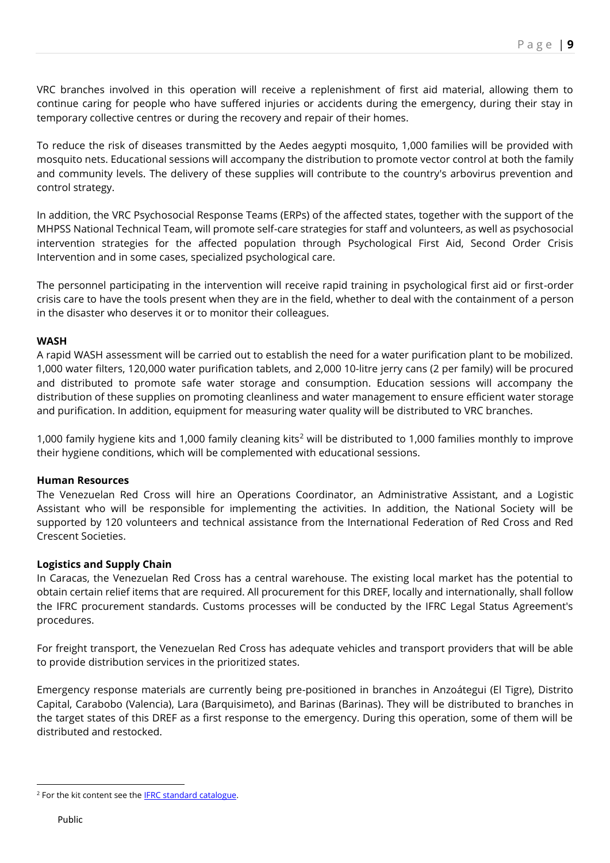VRC branches involved in this operation will receive a replenishment of first aid material, allowing them to continue caring for people who have suffered injuries or accidents during the emergency, during their stay in temporary collective centres or during the recovery and repair of their homes.

To reduce the risk of diseases transmitted by the Aedes aegypti mosquito, 1,000 families will be provided with mosquito nets. Educational sessions will accompany the distribution to promote vector control at both the family and community levels. The delivery of these supplies will contribute to the country's arbovirus prevention and control strategy.

In addition, the VRC Psychosocial Response Teams (ERPs) of the affected states, together with the support of the MHPSS National Technical Team, will promote self-care strategies for staff and volunteers, as well as psychosocial intervention strategies for the affected population through Psychological First Aid, Second Order Crisis Intervention and in some cases, specialized psychological care.

The personnel participating in the intervention will receive rapid training in psychological first aid or first-order crisis care to have the tools present when they are in the field, whether to deal with the containment of a person in the disaster who deserves it or to monitor their colleagues.

#### **WASH**

A rapid WASH assessment will be carried out to establish the need for a water purification plant to be mobilized. 1,000 water filters, 120,000 water purification tablets, and 2,000 10-litre jerry cans (2 per family) will be procured and distributed to promote safe water storage and consumption. Education sessions will accompany the distribution of these supplies on promoting cleanliness and water management to ensure efficient water storage and purification. In addition, equipment for measuring water quality will be distributed to VRC branches.

1,000 family hygiene kits and 1,000 family cleaning kits<sup>2</sup> will be distributed to 1,000 families monthly to improve their hygiene conditions, which will be complemented with educational sessions.

#### **Human Resources**

The Venezuelan Red Cross will hire an Operations Coordinator, an Administrative Assistant, and a Logistic Assistant who will be responsible for implementing the activities. In addition, the National Society will be supported by 120 volunteers and technical assistance from the International Federation of Red Cross and Red Crescent Societies.

# **Logistics and Supply Chain**

In Caracas, the Venezuelan Red Cross has a central warehouse. The existing local market has the potential to obtain certain relief items that are required. All procurement for this DREF, locally and internationally, shall follow the IFRC procurement standards. Customs processes will be conducted by the IFRC Legal Status Agreement's procedures.

For freight transport, the Venezuelan Red Cross has adequate vehicles and transport providers that will be able to provide distribution services in the prioritized states.

Emergency response materials are currently being pre-positioned in branches in Anzoátegui (El Tigre), Distrito Capital, Carabobo (Valencia), Lara (Barquisimeto), and Barinas (Barinas). They will be distributed to branches in the target states of this DREF as a first response to the emergency. During this operation, some of them will be distributed and restocked.

<sup>&</sup>lt;sup>2</sup> For the kit content see the **IFRC standard catalogue**.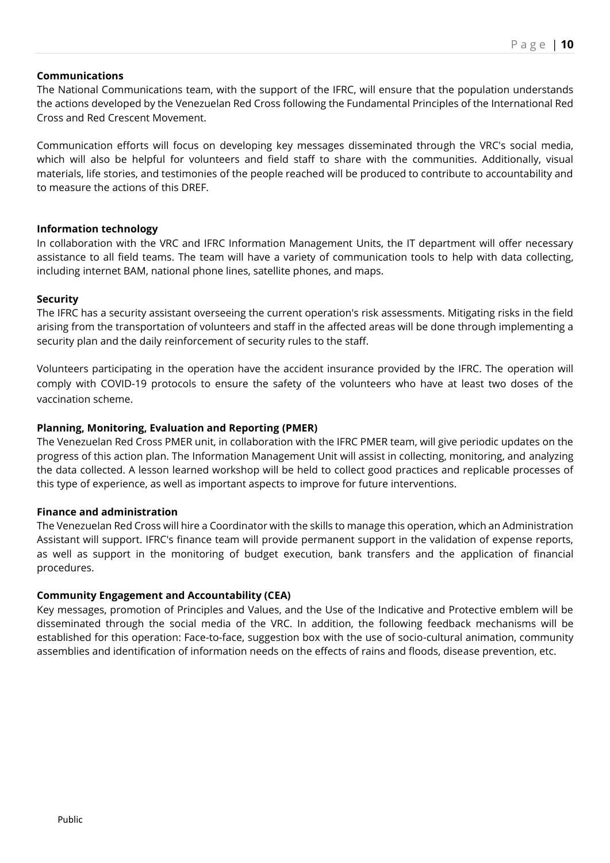#### **Communications**

The National Communications team, with the support of the IFRC, will ensure that the population understands the actions developed by the Venezuelan Red Cross following the Fundamental Principles of the International Red Cross and Red Crescent Movement.

Communication efforts will focus on developing key messages disseminated through the VRC's social media, which will also be helpful for volunteers and field staff to share with the communities. Additionally, visual materials, life stories, and testimonies of the people reached will be produced to contribute to accountability and to measure the actions of this DREF.

#### **Information technology**

In collaboration with the VRC and IFRC Information Management Units, the IT department will offer necessary assistance to all field teams. The team will have a variety of communication tools to help with data collecting, including internet BAM, national phone lines, satellite phones, and maps.

#### **Security**

The IFRC has a security assistant overseeing the current operation's risk assessments. Mitigating risks in the field arising from the transportation of volunteers and staff in the affected areas will be done through implementing a security plan and the daily reinforcement of security rules to the staff.

Volunteers participating in the operation have the accident insurance provided by the IFRC. The operation will comply with COVID-19 protocols to ensure the safety of the volunteers who have at least two doses of the vaccination scheme.

#### **Planning, Monitoring, Evaluation and Reporting (PMER)**

The Venezuelan Red Cross PMER unit, in collaboration with the IFRC PMER team, will give periodic updates on the progress of this action plan. The Information Management Unit will assist in collecting, monitoring, and analyzing the data collected. A lesson learned workshop will be held to collect good practices and replicable processes of this type of experience, as well as important aspects to improve for future interventions.

#### **Finance and administration**

The Venezuelan Red Cross will hire a Coordinator with the skills to manage this operation, which an Administration Assistant will support. IFRC's finance team will provide permanent support in the validation of expense reports, as well as support in the monitoring of budget execution, bank transfers and the application of financial procedures.

#### **Community Engagement and Accountability (CEA)**

Key messages, promotion of Principles and Values, and the Use of the Indicative and Protective emblem will be disseminated through the social media of the VRC. In addition, the following feedback mechanisms will be established for this operation: Face-to-face, suggestion box with the use of socio-cultural animation, community assemblies and identification of information needs on the effects of rains and floods, disease prevention, etc.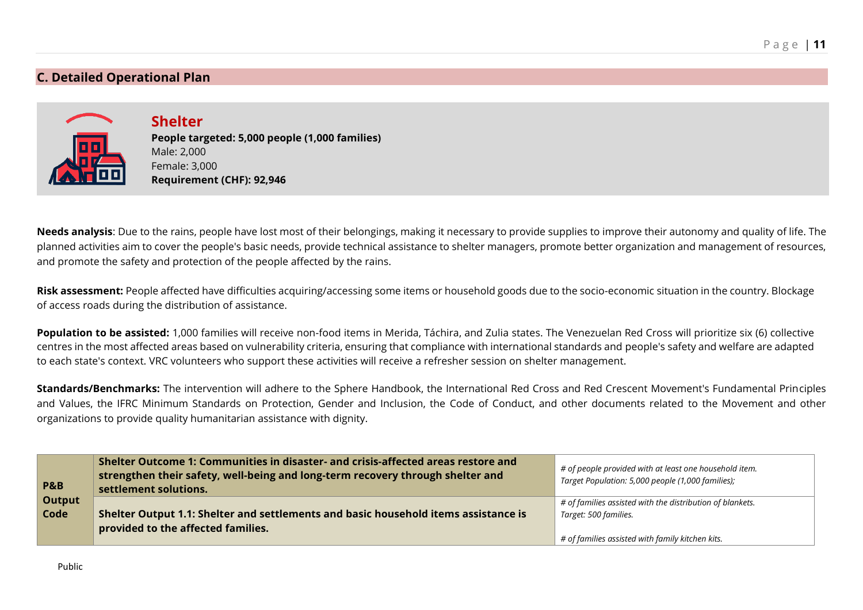# **C. Detailed Operational Plan**



**Shelter People targeted: 5,000 people (1,000 families)** 

Male: 2,000 Female: 3,000 **Requirement (CHF): 92,946**

**Needs analysis**: Due to the rains, people have lost most of their belongings, making it necessary to provide supplies to improve their autonomy and quality of life. The planned activities aim to cover the people's basic needs, provide technical assistance to shelter managers, promote better organization and management of resources, and promote the safety and protection of the people affected by the rains.

**Risk assessment:** People affected have difficulties acquiring/accessing some items or household goods due to the socio-economic situation in the country. Blockage of access roads during the distribution of assistance.

Population to be assisted: 1,000 families will receive non-food items in Merida, Táchira, and Zulia states. The Venezuelan Red Cross will prioritize six (6) collective centres in the most affected areas based on vulnerability criteria, ensuring that compliance with international standards and people's safety and welfare are adapted to each state's context. VRC volunteers who support these activities will receive a refresher session on shelter management.

**Standards/Benchmarks:** The intervention will adhere to the Sphere Handbook, the International Red Cross and Red Crescent Movement's Fundamental Principles and Values, the IFRC Minimum Standards on Protection, Gender and Inclusion, the Code of Conduct, and other documents related to the Movement and other organizations to provide quality humanitarian assistance with dignity.

| <b>P&amp;B</b>        | Shelter Outcome 1: Communities in disaster- and crisis-affected areas restore and<br>strengthen their safety, well-being and long-term recovery through shelter and<br>settlement solutions. | # of people provided with at least one household item.<br>Target Population: 5,000 people (1,000 families);                            |
|-----------------------|----------------------------------------------------------------------------------------------------------------------------------------------------------------------------------------------|----------------------------------------------------------------------------------------------------------------------------------------|
| <b>Output</b><br>Code | Shelter Output 1.1: Shelter and settlements and basic household items assistance is<br>provided to the affected families.                                                                    | # of families assisted with the distribution of blankets.<br>Target: 500 families.<br># of families assisted with family kitchen kits. |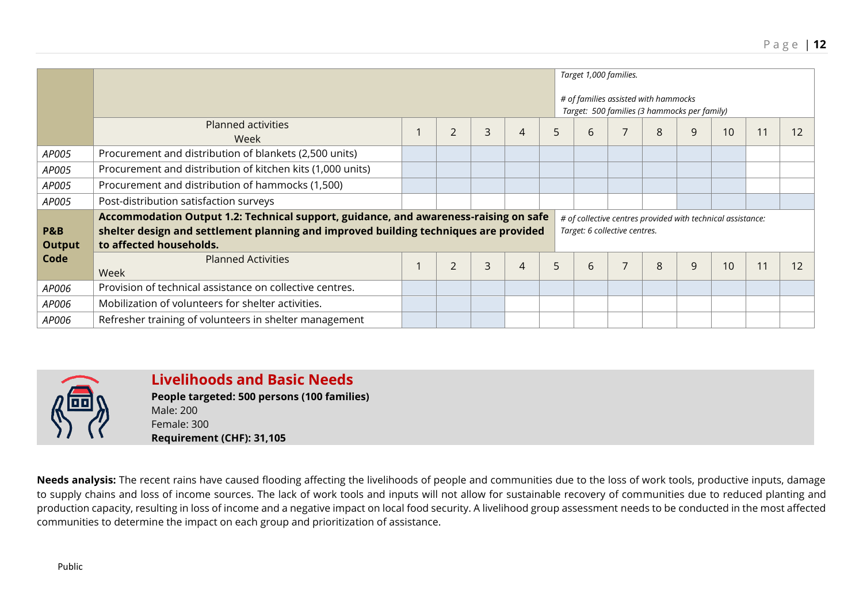|                                 |                                                                                                                                                                                                         |                | Target 1,000 families.<br># of families assisted with hammocks<br>Target: 500 families (3 hammocks per family) |   |    |                               |                |   |   |                                                             |  |    |
|---------------------------------|---------------------------------------------------------------------------------------------------------------------------------------------------------------------------------------------------------|----------------|----------------------------------------------------------------------------------------------------------------|---|----|-------------------------------|----------------|---|---|-------------------------------------------------------------|--|----|
|                                 | <b>Planned activities</b><br>Week                                                                                                                                                                       | $\overline{2}$ | 3                                                                                                              | 4 | 5. | 6                             | 7              | 8 | 9 | 10                                                          |  | 12 |
| AP005                           | Procurement and distribution of blankets (2,500 units)                                                                                                                                                  |                |                                                                                                                |   |    |                               |                |   |   |                                                             |  |    |
| AP005                           | Procurement and distribution of kitchen kits (1,000 units)                                                                                                                                              |                |                                                                                                                |   |    |                               |                |   |   |                                                             |  |    |
| AP005                           | Procurement and distribution of hammocks (1,500)                                                                                                                                                        |                |                                                                                                                |   |    |                               |                |   |   |                                                             |  |    |
| AP005                           | Post-distribution satisfaction surveys                                                                                                                                                                  |                |                                                                                                                |   |    |                               |                |   |   |                                                             |  |    |
| <b>P&amp;B</b><br><b>Output</b> | Accommodation Output 1.2: Technical support, guidance, and awareness-raising on safe<br>shelter design and settlement planning and improved building techniques are provided<br>to affected households. |                |                                                                                                                |   |    | Target: 6 collective centres. |                |   |   | # of collective centres provided with technical assistance: |  |    |
| Code                            | <b>Planned Activities</b><br>Week                                                                                                                                                                       | $\overline{2}$ | 3                                                                                                              | 4 | 5  | 6                             | $\overline{7}$ | 8 | 9 | 10                                                          |  | 12 |
| AP006                           | Provision of technical assistance on collective centres.                                                                                                                                                |                |                                                                                                                |   |    |                               |                |   |   |                                                             |  |    |
| AP006                           | Mobilization of volunteers for shelter activities.                                                                                                                                                      |                |                                                                                                                |   |    |                               |                |   |   |                                                             |  |    |
| AP006                           | Refresher training of volunteers in shelter management                                                                                                                                                  |                |                                                                                                                |   |    |                               |                |   |   |                                                             |  |    |

**Livelihoods and Basic Needs People targeted: 500 persons (100 families)** Male: 200 Female: 300 **Requirement (CHF): 31,105**

**Needs analysis:** The recent rains have caused flooding affecting the livelihoods of people and communities due to the loss of work tools, productive inputs, damage to supply chains and loss of income sources. The lack of work tools and inputs will not allow for sustainable recovery of communities due to reduced planting and production capacity, resulting in loss of income and a negative impact on local food security. A livelihood group assessment needs to be conducted in the most affected communities to determine the impact on each group and prioritization of assistance.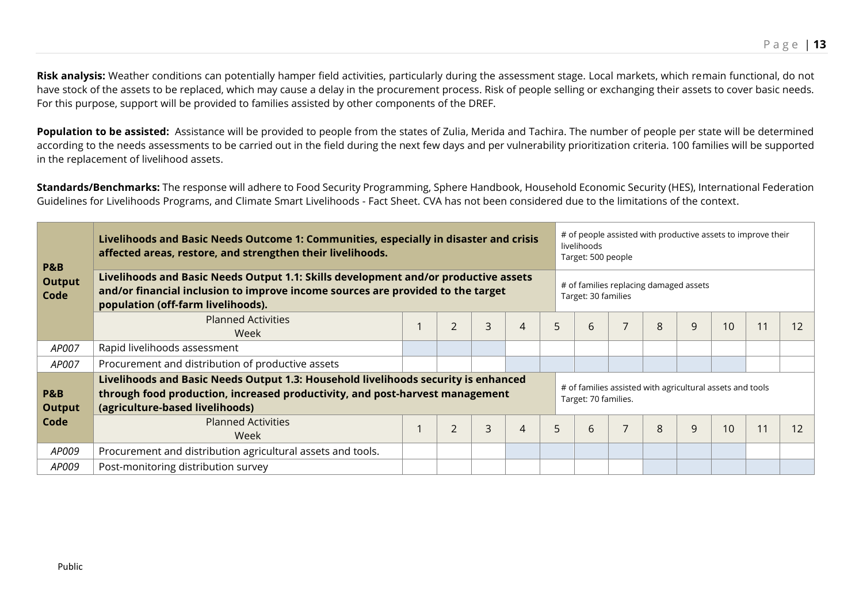Risk analysis: Weather conditions can potentially hamper field activities, particularly during the assessment stage. Local markets, which remain functional, do not have stock of the assets to be replaced, which may cause a delay in the procurement process. Risk of people selling or exchanging their assets to cover basic needs. For this purpose, support will be provided to families assisted by other components of the DREF.

Population to be assisted: Assistance will be provided to people from the states of Zulia, Merida and Tachira. The number of people per state will be determined according to the needs assessments to be carried out in the field during the next few days and per vulnerability prioritization criteria. 100 families will be supported in the replacement of livelihood assets.

**Standards/Benchmarks:** The response will adhere to Food Security Programming, Sphere Handbook, Household Economic Security (HES), International Federation Guidelines for Livelihoods Programs, and Climate Smart Livelihoods - Fact Sheet. CVA has not been considered due to the limitations of the context.

| <b>P&amp;B</b>                  | Livelihoods and Basic Needs Outcome 1: Communities, especially in disaster and crisis<br>affected areas, restore, and strengthen their livelihoods.                                                          |  | # of people assisted with productive assets to improve their<br>livelihoods<br>Target: 500 people |   |   |    |                                                               |                |                                                                                   |   |    |  |    |  |  |  |
|---------------------------------|--------------------------------------------------------------------------------------------------------------------------------------------------------------------------------------------------------------|--|---------------------------------------------------------------------------------------------------|---|---|----|---------------------------------------------------------------|----------------|-----------------------------------------------------------------------------------|---|----|--|----|--|--|--|
| <b>Output</b><br>Code           | Livelihoods and Basic Needs Output 1.1: Skills development and/or productive assets<br>and/or financial inclusion to improve income sources are provided to the target<br>population (off-farm livelihoods). |  |                                                                                                   |   |   |    | # of families replacing damaged assets<br>Target: 30 families |                |                                                                                   |   |    |  |    |  |  |  |
|                                 | <b>Planned Activities</b><br>Week                                                                                                                                                                            |  | $\overline{2}$                                                                                    | 3 | 4 | 5. | 6                                                             | $\overline{7}$ | 8                                                                                 | 9 | 10 |  | 12 |  |  |  |
| AP007                           | Rapid livelihoods assessment                                                                                                                                                                                 |  |                                                                                                   |   |   |    |                                                               |                |                                                                                   |   |    |  |    |  |  |  |
| AP007                           | Procurement and distribution of productive assets                                                                                                                                                            |  |                                                                                                   |   |   |    |                                                               |                |                                                                                   |   |    |  |    |  |  |  |
| <b>P&amp;B</b><br><b>Output</b> | Livelihoods and Basic Needs Output 1.3: Household livelihoods security is enhanced<br>through food production, increased productivity, and post-harvest management<br>(agriculture-based livelihoods)        |  |                                                                                                   |   |   |    |                                                               |                | # of families assisted with agricultural assets and tools<br>Target: 70 families. |   |    |  |    |  |  |  |
| Code                            | <b>Planned Activities</b><br>Week                                                                                                                                                                            |  | $\overline{2}$                                                                                    | 3 | 4 | 5  | 6                                                             | $\overline{7}$ | $\mathsf{R}$                                                                      | 9 | 10 |  | 12 |  |  |  |
| AP009                           | Procurement and distribution agricultural assets and tools.                                                                                                                                                  |  |                                                                                                   |   |   |    |                                                               |                |                                                                                   |   |    |  |    |  |  |  |
| AP009                           | Post-monitoring distribution survey                                                                                                                                                                          |  |                                                                                                   |   |   |    |                                                               |                |                                                                                   |   |    |  |    |  |  |  |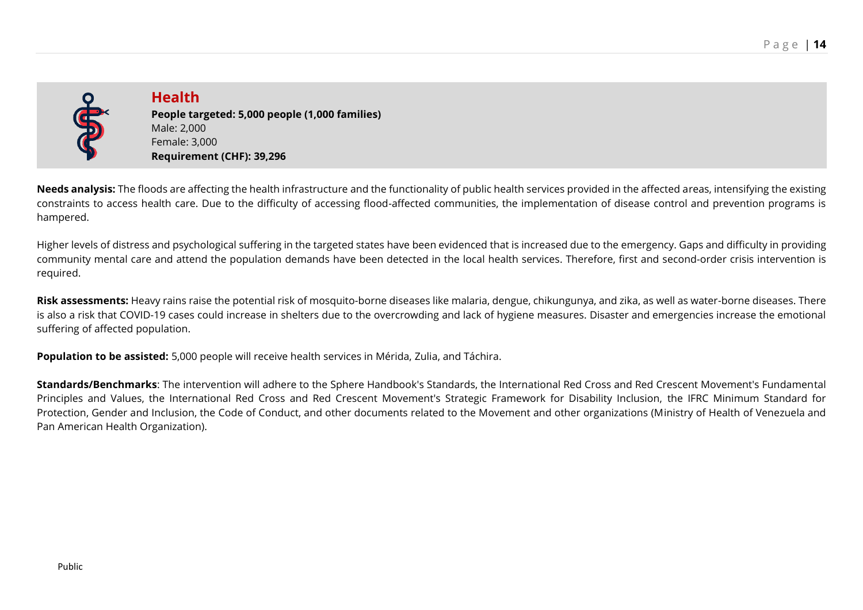

**Health People targeted: 5,000 people (1,000 families)** Male: 2,000 Female: 3,000 **Requirement (CHF): 39,296**

**Needs analysis:** The floods are affecting the health infrastructure and the functionality of public health services provided in the affected areas, intensifying the existing constraints to access health care. Due to the difficulty of accessing flood-affected communities, the implementation of disease control and prevention programs is hampered.

Higher levels of distress and psychological suffering in the targeted states have been evidenced that is increased due to the emergency. Gaps and difficulty in providing community mental care and attend the population demands have been detected in the local health services. Therefore, first and second-order crisis intervention is required.

**Risk assessments:** Heavy rains raise the potential risk of mosquito-borne diseases like malaria, dengue, chikungunya, and zika, as well as water-borne diseases. There is also a risk that COVID-19 cases could increase in shelters due to the overcrowding and lack of hygiene measures. Disaster and emergencies increase the emotional suffering of affected population.

**Population to be assisted:** 5,000 people will receive health services in Mérida, Zulia, and Táchira.

**Standards/Benchmarks**: The intervention will adhere to the Sphere Handbook's Standards, the International Red Cross and Red Crescent Movement's Fundamental Principles and Values, the International Red Cross and Red Crescent Movement's Strategic Framework for Disability Inclusion, the IFRC Minimum Standard for Protection, Gender and Inclusion, the Code of Conduct, and other documents related to the Movement and other organizations (Ministry of Health of Venezuela and Pan American Health Organization).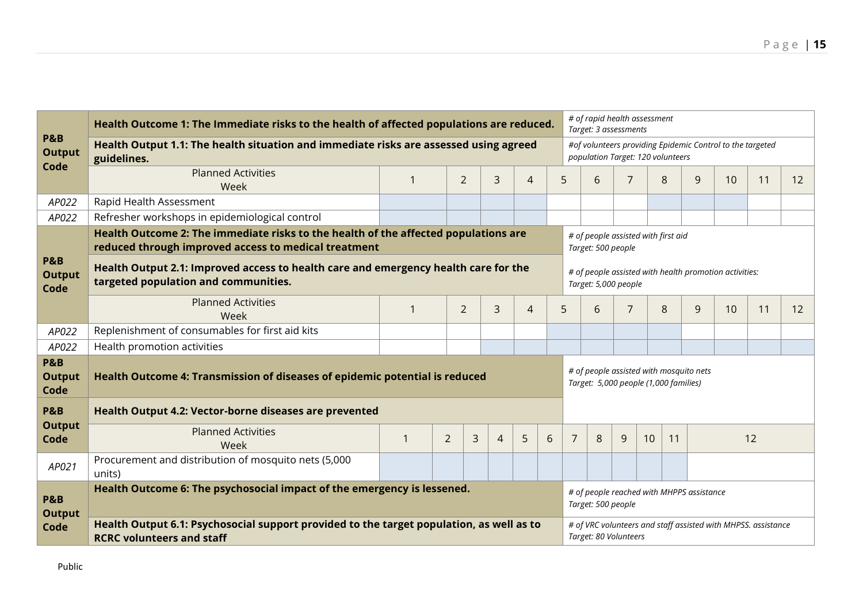| <b>P&amp;B</b>                          | Health Outcome 1: The Immediate risks to the health of affected populations are reduced.                                                    |    |                |   |                |                |   |                                                                                | # of rapid health assessment<br>Target: 3 assessments |                                                                                        |  |   |                                           |                                                           |    |    |  |
|-----------------------------------------|---------------------------------------------------------------------------------------------------------------------------------------------|----|----------------|---|----------------|----------------|---|--------------------------------------------------------------------------------|-------------------------------------------------------|----------------------------------------------------------------------------------------|--|---|-------------------------------------------|-----------------------------------------------------------|----|----|--|
| <b>Output</b>                           | Health Output 1.1: The health situation and immediate risks are assessed using agreed<br>guidelines.                                        |    |                |   |                |                |   |                                                                                | population Target: 120 volunteers                     |                                                                                        |  |   |                                           | #of volunteers providing Epidemic Control to the targeted |    |    |  |
| Code                                    | <b>Planned Activities</b><br>Week                                                                                                           |    | $\overline{2}$ |   | 3              | $\overline{4}$ |   | 5                                                                              | 6                                                     | 7                                                                                      |  | 8 | 9                                         | 10                                                        | 11 | 12 |  |
| AP022                                   | Rapid Health Assessment                                                                                                                     |    |                |   |                |                |   |                                                                                |                                                       |                                                                                        |  |   |                                           |                                                           |    |    |  |
| AP022                                   | Refresher workshops in epidemiological control                                                                                              |    |                |   |                |                |   |                                                                                |                                                       |                                                                                        |  |   |                                           |                                                           |    |    |  |
|                                         | Health Outcome 2: The immediate risks to the health of the affected populations are<br>reduced through improved access to medical treatment |    |                |   |                |                |   | # of people assisted with first aid<br>Target: 500 people                      |                                                       |                                                                                        |  |   |                                           |                                                           |    |    |  |
| <b>P&amp;B</b><br><b>Output</b><br>Code | Health Output 2.1: Improved access to health care and emergency health care for the<br>targeted population and communities.                 |    |                |   |                |                |   | # of people assisted with health promotion activities:<br>Target: 5,000 people |                                                       |                                                                                        |  |   |                                           |                                                           |    |    |  |
|                                         | <b>Planned Activities</b><br>Week                                                                                                           |    | $\overline{2}$ |   | $\overline{3}$ | $\overline{4}$ |   | 5                                                                              | 6                                                     | $\overline{7}$                                                                         |  | 8 | 9                                         | 10                                                        | 11 | 12 |  |
| AP022                                   | Replenishment of consumables for first aid kits                                                                                             |    |                |   |                |                |   |                                                                                |                                                       |                                                                                        |  |   |                                           |                                                           |    |    |  |
| AP022                                   | Health promotion activities                                                                                                                 |    |                |   |                |                |   |                                                                                |                                                       |                                                                                        |  |   |                                           |                                                           |    |    |  |
| <b>P&amp;B</b><br><b>Output</b><br>Code | Health Outcome 4: Transmission of diseases of epidemic potential is reduced                                                                 |    |                |   |                |                |   |                                                                                | Target: 5,000 people (1,000 families)                 |                                                                                        |  |   | # of people assisted with mosquito nets   |                                                           |    |    |  |
| <b>P&amp;B</b>                          | Health Output 4.2: Vector-borne diseases are prevented                                                                                      |    |                |   |                |                |   |                                                                                |                                                       |                                                                                        |  |   |                                           |                                                           |    |    |  |
| <b>Output</b><br>Code                   | <b>Planned Activities</b><br>Week                                                                                                           | -1 | $\overline{2}$ | 3 | $\overline{4}$ | 5              | 6 | $\overline{7}$<br>8<br>9<br>10<br>12<br>11                                     |                                                       |                                                                                        |  |   |                                           |                                                           |    |    |  |
| AP021                                   | Procurement and distribution of mosquito nets (5,000<br>units)                                                                              |    |                |   |                |                |   |                                                                                |                                                       |                                                                                        |  |   |                                           |                                                           |    |    |  |
| <b>P&amp;B</b><br><b>Output</b>         | Health Outcome 6: The psychosocial impact of the emergency is lessened.                                                                     |    |                |   |                |                |   |                                                                                | Target: 500 people                                    |                                                                                        |  |   | # of people reached with MHPPS assistance |                                                           |    |    |  |
| Code                                    | Health Output 6.1: Psychosocial support provided to the target population, as well as to<br><b>RCRC volunteers and staff</b>                |    |                |   |                |                |   |                                                                                |                                                       | # of VRC volunteers and staff assisted with MHPSS. assistance<br>Target: 80 Volunteers |  |   |                                           |                                                           |    |    |  |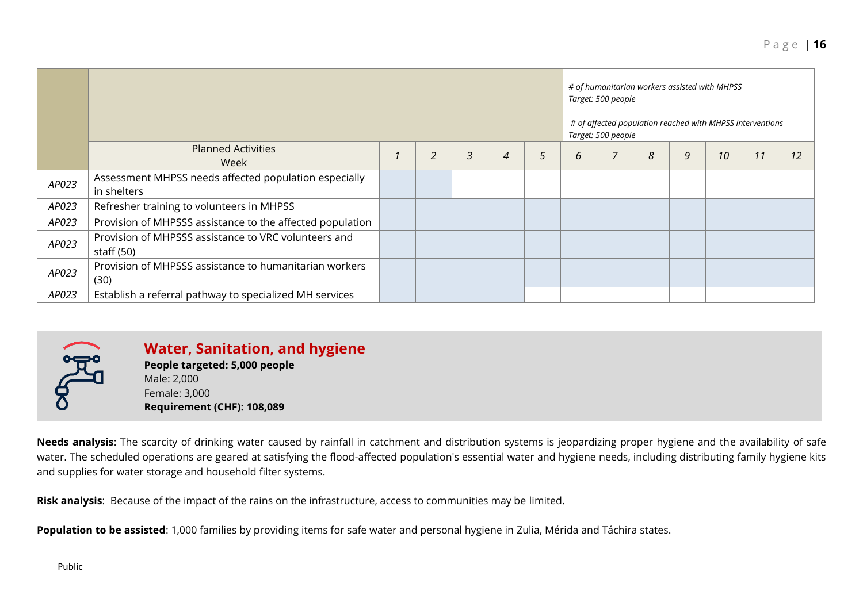|       |                                                                      | # of humanitarian workers assisted with MHPSS<br>Target: 500 people<br># of affected population reached with MHPSS interventions<br>Target: 500 people |   |   |   |   |  |   |   |    |    |    |
|-------|----------------------------------------------------------------------|--------------------------------------------------------------------------------------------------------------------------------------------------------|---|---|---|---|--|---|---|----|----|----|
|       | <b>Planned Activities</b><br>Week                                    | $\overline{2}$                                                                                                                                         | 3 | 4 | 5 | 6 |  | ጸ | 9 | 10 | 11 | 12 |
| AP023 | Assessment MHPSS needs affected population especially<br>in shelters |                                                                                                                                                        |   |   |   |   |  |   |   |    |    |    |
| AP023 | Refresher training to volunteers in MHPSS                            |                                                                                                                                                        |   |   |   |   |  |   |   |    |    |    |
| AP023 | Provision of MHPSSS assistance to the affected population            |                                                                                                                                                        |   |   |   |   |  |   |   |    |    |    |
| AP023 | Provision of MHPSSS assistance to VRC volunteers and<br>staff (50)   |                                                                                                                                                        |   |   |   |   |  |   |   |    |    |    |
| AP023 | Provision of MHPSSS assistance to humanitarian workers<br>(30)       |                                                                                                                                                        |   |   |   |   |  |   |   |    |    |    |
| AP023 | Establish a referral pathway to specialized MH services              |                                                                                                                                                        |   |   |   |   |  |   |   |    |    |    |

**Water, Sanitation, and hygiene People targeted: 5,000 people** Male: 2,000 Female: 3,000

**Requirement (CHF): 108,089**

**Needs analysis**: The scarcity of drinking water caused by rainfall in catchment and distribution systems is jeopardizing proper hygiene and the availability of safe water. The scheduled operations are geared at satisfying the flood-affected population's essential water and hygiene needs, including distributing family hygiene kits and supplies for water storage and household filter systems.

**Risk analysis**: Because of the impact of the rains on the infrastructure, access to communities may be limited.

**Population to be assisted**: 1,000 families by providing items for safe water and personal hygiene in Zulia, Mérida and Táchira states.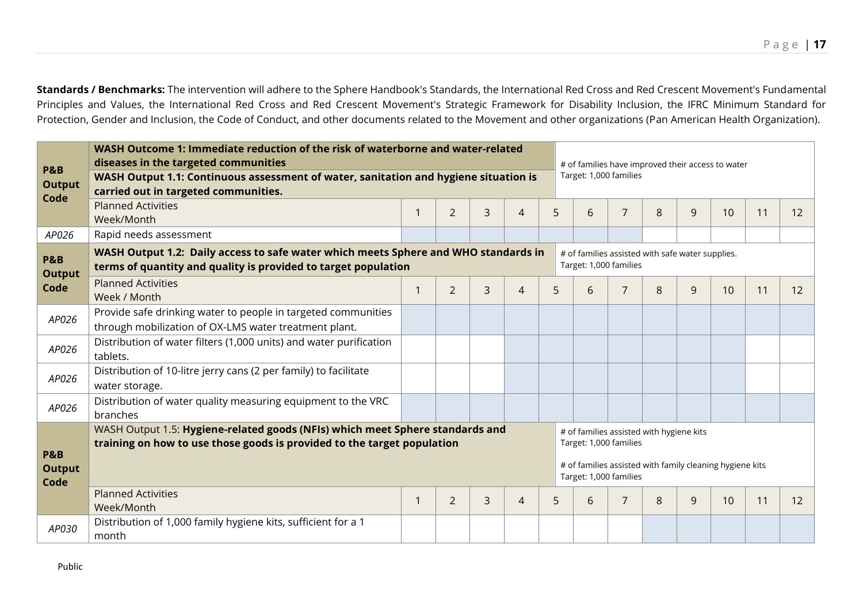**Standards / Benchmarks:** The intervention will adhere to the Sphere Handbook's Standards, the International Red Cross and Red Crescent Movement's Fundamental Principles and Values, the International Red Cross and Red Crescent Movement's Strategic Framework for Disability Inclusion, the IFRC Minimum Standard for Protection, Gender and Inclusion, the Code of Conduct, and other documents related to the Movement and other organizations (Pan American Health Organization).

| <b>P&amp;B</b><br><b>Output</b>         | WASH Outcome 1: Immediate reduction of the risk of waterborne and water-related<br>diseases in the targeted communities<br>WASH Output 1.1: Continuous assessment of water, sanitation and hygiene situation is<br>carried out in targeted communities. |             |                |                |                |                                                                            | # of families have improved their access to water<br>Target: 1,000 families |                                                  |                                          |                                                          |    |    |    |  |  |  |
|-----------------------------------------|---------------------------------------------------------------------------------------------------------------------------------------------------------------------------------------------------------------------------------------------------------|-------------|----------------|----------------|----------------|----------------------------------------------------------------------------|-----------------------------------------------------------------------------|--------------------------------------------------|------------------------------------------|----------------------------------------------------------|----|----|----|--|--|--|
| Code                                    | <b>Planned Activities</b><br>Week/Month                                                                                                                                                                                                                 | 1           | $\overline{2}$ | 3              | $\overline{4}$ | 5                                                                          | 6                                                                           | $\overline{7}$                                   | 8                                        | 9                                                        | 10 | 11 | 12 |  |  |  |
| AP026                                   | Rapid needs assessment                                                                                                                                                                                                                                  |             |                |                |                |                                                                            |                                                                             |                                                  |                                          |                                                          |    |    |    |  |  |  |
| <b>P&amp;B</b><br><b>Output</b>         | WASH Output 1.2: Daily access to safe water which meets Sphere and WHO standards in<br>terms of quantity and quality is provided to target population                                                                                                   |             |                |                |                | # of families assisted with safe water supplies.<br>Target: 1,000 families |                                                                             |                                                  |                                          |                                                          |    |    |    |  |  |  |
| Code                                    | <b>Planned Activities</b><br>Week / Month                                                                                                                                                                                                               | $\mathbf 1$ | 2              | 3              | $\overline{4}$ | 5                                                                          | 6                                                                           | $\overline{7}$                                   | 8                                        | 9                                                        | 10 | 11 | 12 |  |  |  |
| AP026                                   | Provide safe drinking water to people in targeted communities<br>through mobilization of OX-LMS water treatment plant.                                                                                                                                  |             |                |                |                |                                                                            |                                                                             |                                                  |                                          |                                                          |    |    |    |  |  |  |
| AP026                                   | Distribution of water filters (1,000 units) and water purification<br>tablets.                                                                                                                                                                          |             |                |                |                |                                                                            |                                                                             |                                                  |                                          |                                                          |    |    |    |  |  |  |
| AP026                                   | Distribution of 10-litre jerry cans (2 per family) to facilitate<br>water storage.                                                                                                                                                                      |             |                |                |                |                                                                            |                                                                             |                                                  |                                          |                                                          |    |    |    |  |  |  |
| AP026                                   | Distribution of water quality measuring equipment to the VRC<br>branches                                                                                                                                                                                |             |                |                |                |                                                                            |                                                                             |                                                  |                                          |                                                          |    |    |    |  |  |  |
| <b>P&amp;B</b><br><b>Output</b><br>Code | WASH Output 1.5: Hygiene-related goods (NFIs) which meet Sphere standards and<br>training on how to use those goods is provided to the target population                                                                                                |             |                |                |                |                                                                            |                                                                             | Target: 1,000 families<br>Target: 1,000 families | # of families assisted with hygiene kits | # of families assisted with family cleaning hygiene kits |    |    |    |  |  |  |
|                                         | <b>Planned Activities</b><br>Week/Month                                                                                                                                                                                                                 | $\mathbf 1$ | $\overline{2}$ | $\overline{3}$ | $\overline{4}$ | 5                                                                          | 6                                                                           | 7                                                | 8                                        | 9                                                        | 10 | 11 | 12 |  |  |  |
| AP030                                   | Distribution of 1,000 family hygiene kits, sufficient for a 1<br>month                                                                                                                                                                                  |             |                |                |                |                                                                            |                                                                             |                                                  |                                          |                                                          |    |    |    |  |  |  |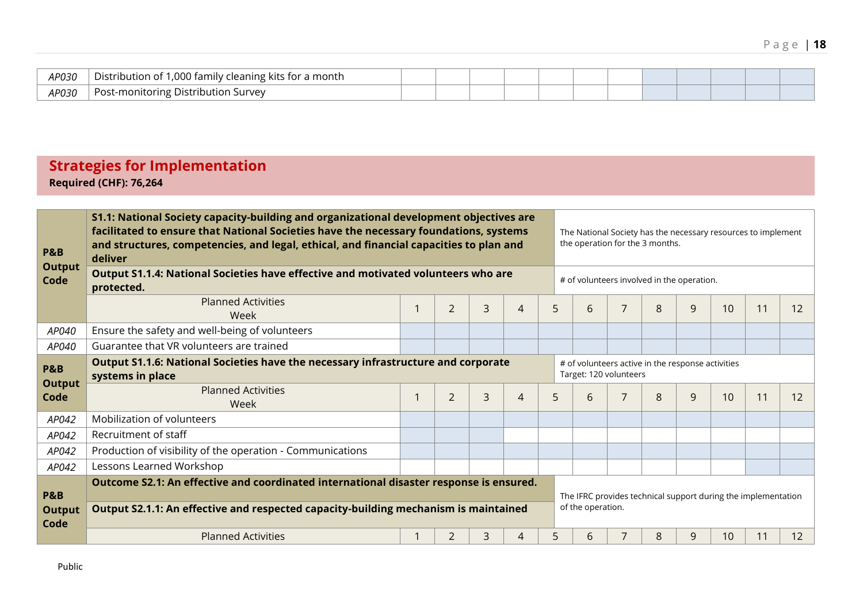| AP030 | Distribution<br>l ,000 family<br>, cleaning kits for a month<br>-OT |  |  |  |  |  |  |
|-------|---------------------------------------------------------------------|--|--|--|--|--|--|
| AP030 | c-monitoring Distribution ۲<br>. Survev<br>Poc                      |  |  |  |  |  |  |

# **Strategies for Implementation Required (CHF): 76,264**

| <b>P&amp;B</b><br><b>Output</b><br>Code | S1.1: National Society capacity-building and organizational development objectives are<br>facilitated to ensure that National Societies have the necessary foundations, systems<br>and structures, competencies, and legal, ethical, and financial capacities to plan and<br>deliver<br>Output S1.1.4: National Societies have effective and motivated volunteers who are |  |                |   |   |   | The National Society has the necessary resources to implement<br>the operation for the 3 months.<br># of volunteers involved in the operation. |                |   |   |                 |                                                               |    |
|-----------------------------------------|---------------------------------------------------------------------------------------------------------------------------------------------------------------------------------------------------------------------------------------------------------------------------------------------------------------------------------------------------------------------------|--|----------------|---|---|---|------------------------------------------------------------------------------------------------------------------------------------------------|----------------|---|---|-----------------|---------------------------------------------------------------|----|
|                                         | protected.<br><b>Planned Activities</b><br>Week                                                                                                                                                                                                                                                                                                                           |  | $\overline{2}$ | 3 | 4 | 5 | 6                                                                                                                                              | $\overline{7}$ | 8 | 9 | 10              | 11                                                            | 12 |
| AP040                                   | Ensure the safety and well-being of volunteers                                                                                                                                                                                                                                                                                                                            |  |                |   |   |   |                                                                                                                                                |                |   |   |                 |                                                               |    |
| AP040                                   | Guarantee that VR volunteers are trained                                                                                                                                                                                                                                                                                                                                  |  |                |   |   |   |                                                                                                                                                |                |   |   |                 |                                                               |    |
| <b>P&amp;B</b><br><b>Output</b><br>Code | Output S1.1.6: National Societies have the necessary infrastructure and corporate<br># of volunteers active in the response activities<br>Target: 120 volunteers<br>systems in place                                                                                                                                                                                      |  |                |   |   |   |                                                                                                                                                |                |   |   |                 |                                                               |    |
|                                         | <b>Planned Activities</b><br>Week                                                                                                                                                                                                                                                                                                                                         |  | $\overline{2}$ | 3 | 4 | 5 | 6                                                                                                                                              | 7              | 8 | 9 | 10              | 11                                                            | 12 |
| AP042                                   | Mobilization of volunteers                                                                                                                                                                                                                                                                                                                                                |  |                |   |   |   |                                                                                                                                                |                |   |   |                 |                                                               |    |
| AP042                                   | Recruitment of staff                                                                                                                                                                                                                                                                                                                                                      |  |                |   |   |   |                                                                                                                                                |                |   |   |                 |                                                               |    |
| AP042                                   | Production of visibility of the operation - Communications                                                                                                                                                                                                                                                                                                                |  |                |   |   |   |                                                                                                                                                |                |   |   |                 |                                                               |    |
| AP042                                   | Lessons Learned Workshop                                                                                                                                                                                                                                                                                                                                                  |  |                |   |   |   |                                                                                                                                                |                |   |   |                 |                                                               |    |
| <b>P&amp;B</b><br><b>Output</b><br>Code | Outcome S2.1: An effective and coordinated international disaster response is ensured.<br>Output S2.1.1: An effective and respected capacity-building mechanism is maintained                                                                                                                                                                                             |  |                |   |   |   | of the operation.                                                                                                                              |                |   |   |                 | The IFRC provides technical support during the implementation |    |
|                                         | <b>Planned Activities</b>                                                                                                                                                                                                                                                                                                                                                 |  | 2              | 3 | 4 | 5 | 6                                                                                                                                              |                | 8 | 9 | 10 <sup>°</sup> | 11                                                            | 12 |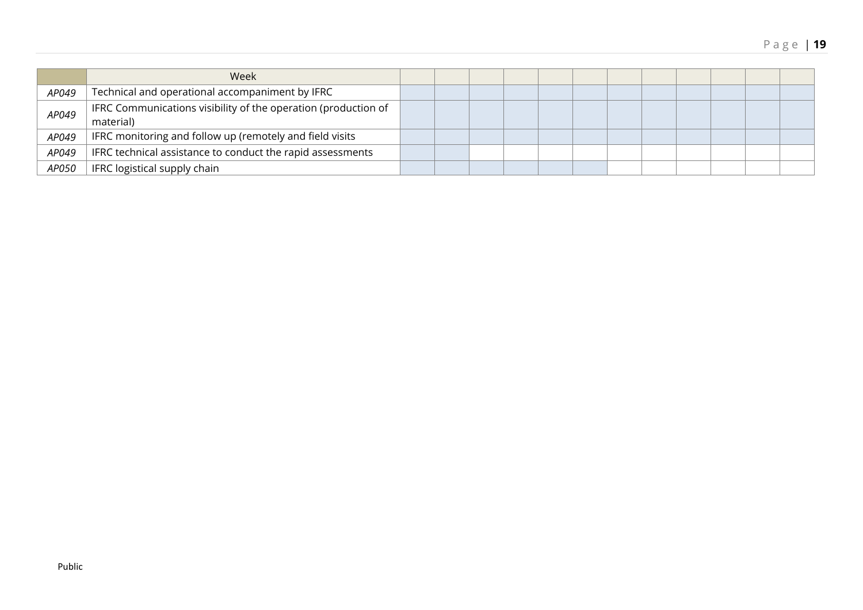|       | Week                                                                        |  |  |  |  |  |  |
|-------|-----------------------------------------------------------------------------|--|--|--|--|--|--|
| AP049 | Technical and operational accompaniment by IFRC                             |  |  |  |  |  |  |
| AP049 | IFRC Communications visibility of the operation (production of<br>material) |  |  |  |  |  |  |
| AP049 | IFRC monitoring and follow up (remotely and field visits                    |  |  |  |  |  |  |
| AP049 | IFRC technical assistance to conduct the rapid assessments                  |  |  |  |  |  |  |
| AP050 | IFRC logistical supply chain                                                |  |  |  |  |  |  |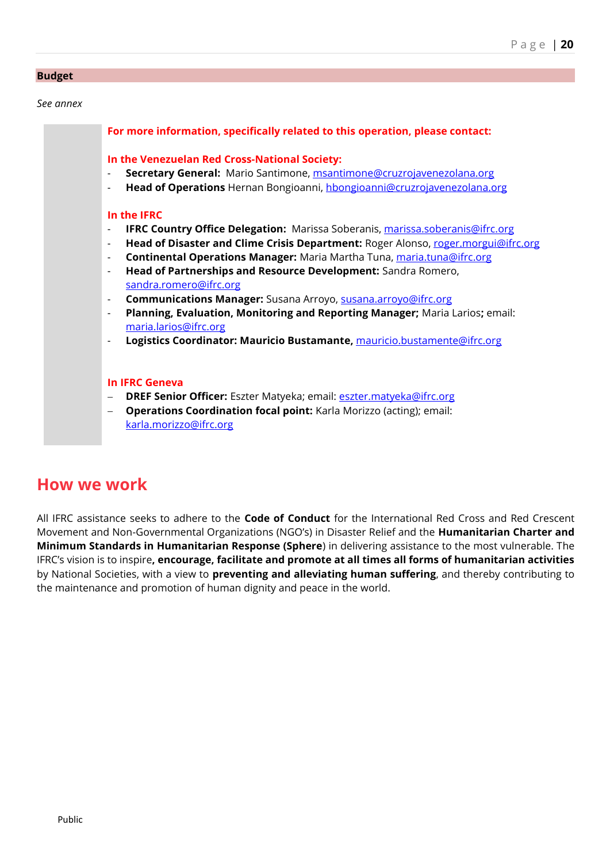#### **Budget**

*See annex*

|                          | For more information, specifically related to this operation, please contact:        |
|--------------------------|--------------------------------------------------------------------------------------|
|                          | In the Venezuelan Red Cross-National Society:                                        |
| $\overline{a}$           | Secretary General: Mario Santimone, msantimone@cruzrojavenezolana.org                |
| $\overline{\phantom{a}}$ | Head of Operations Hernan Bongioanni, hbongioanni@cruzrojavenezolana.org             |
|                          | In the IFRC                                                                          |
| $\overline{\phantom{a}}$ | <b>IFRC Country Office Delegation:</b> Marissa Soberanis, marissa.soberanis@ifrc.org |
| $\overline{\phantom{a}}$ | Head of Disaster and Clime Crisis Department: Roger Alonso, roger.morgui@ifrc.org    |
| $\overline{\phantom{a}}$ | Continental Operations Manager: Maria Martha Tuna, maria.tuna@ifrc.org               |
| $\overline{\phantom{a}}$ | Head of Partnerships and Resource Development: Sandra Romero,                        |
|                          | sandra.romero@ifrc.org                                                               |
| $\overline{\phantom{a}}$ | Communications Manager: Susana Arroyo, susana.arroyo@ifrc.org                        |
| $\overline{\phantom{a}}$ | Planning, Evaluation, Monitoring and Reporting Manager; Maria Larios; email:         |
|                          | maria.larios@ifrc.org                                                                |
| $\overline{\phantom{a}}$ | Logistics Coordinator: Mauricio Bustamante, mauricio.bustamente@ifrc.org             |
|                          |                                                                                      |
|                          |                                                                                      |
|                          | <b>In IFRC Geneva</b>                                                                |
| $\overline{\phantom{0}}$ | <b>DREF Senior Officer:</b> Eszter Matyeka; email: <b>eszter.matyeka@ifrc.org</b>    |
| $\overline{\phantom{0}}$ | <b>Operations Coordination focal point:</b> Karla Morizzo (acting); email:           |
|                          | karla.morizzo@ifrc.org                                                               |

# **How we work**

All IFRC assistance seeks to adhere to the **Code of Conduct** for the International Red Cross and Red Crescent Movement and Non-Governmental Organizations (NGO's) in Disaster Relief and the **Humanitarian Charter and Minimum Standards in Humanitarian Response (Sphere**) in delivering assistance to the most vulnerable. The IFRC's vision is to inspire**, encourage, facilitate and promote at all times all forms of humanitarian activities** by National Societies, with a view to **preventing and alleviating human suffering**, and thereby contributing to the maintenance and promotion of human dignity and peace in the world.